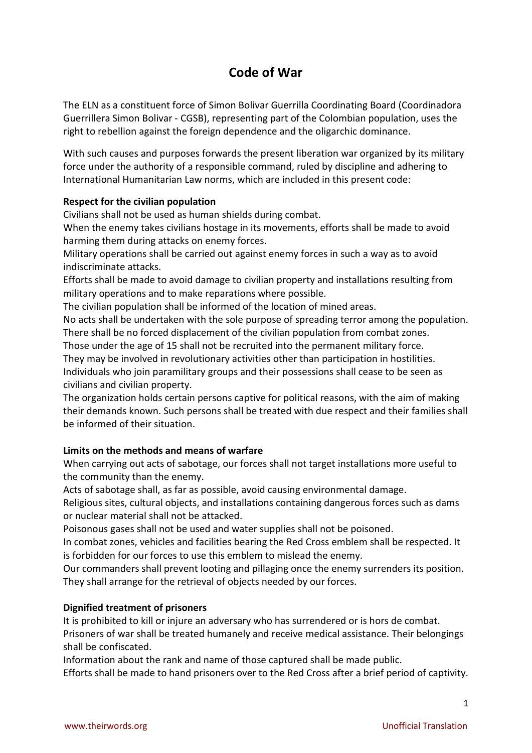# **Code of War**

The ELN as a constituent force of Simon Bolivar Guerrilla Coordinating Board (Coordinadora Guerrillera Simon Bolivar - CGSB), representing part of the Colombian population, uses the right to rebellion against the foreign dependence and the oligarchic dominance.

With such causes and purposes forwards the present liberation war organized by its military force under the authority of a responsible command, ruled by discipline and adhering to International Humanitarian Law norms, which are included in this present code:

### **Respect for the civilian population**

Civilians shall not be used as human shields during combat.

When the enemy takes civilians hostage in its movements, efforts shall be made to avoid harming them during attacks on enemy forces.

Military operations shall be carried out against enemy forces in such a way as to avoid indiscriminate attacks.

Efforts shall be made to avoid damage to civilian property and installations resulting from military operations and to make reparations where possible.

The civilian population shall be informed of the location of mined areas.

No acts shall be undertaken with the sole purpose of spreading terror among the population. There shall be no forced displacement of the civilian population from combat zones.

Those under the age of 15 shall not be recruited into the permanent military force. They may be involved in revolutionary activities other than participation in hostilities. Individuals who join paramilitary groups and their possessions shall cease to be seen as

civilians and civilian property. The organization holds certain persons captive for political reasons, with the aim of making

their demands known. Such persons shall be treated with due respect and their families shall be informed of their situation.

## **Limits on the methods and means of warfare**

When carrying out acts of sabotage, our forces shall not target installations more useful to the community than the enemy.

Acts of sabotage shall, as far as possible, avoid causing environmental damage.

Religious sites, cultural objects, and installations containing dangerous forces such as dams or nuclear material shall not be attacked.

Poisonous gases shall not be used and water supplies shall not be poisoned.

In combat zones, vehicles and facilities bearing the Red Cross emblem shall be respected. It is forbidden for our forces to use this emblem to mislead the enemy.

Our commanders shall prevent looting and pillaging once the enemy surrenders its position. They shall arrange for the retrieval of objects needed by our forces.

#### **Dignified treatment of prisoners**

It is prohibited to kill or injure an adversary who has surrendered or is hors de combat. Prisoners of war shall be treated humanely and receive medical assistance. Their belongings shall be confiscated.

Information about the rank and name of those captured shall be made public.

Efforts shall be made to hand prisoners over to the Red Cross after a brief period of captivity.